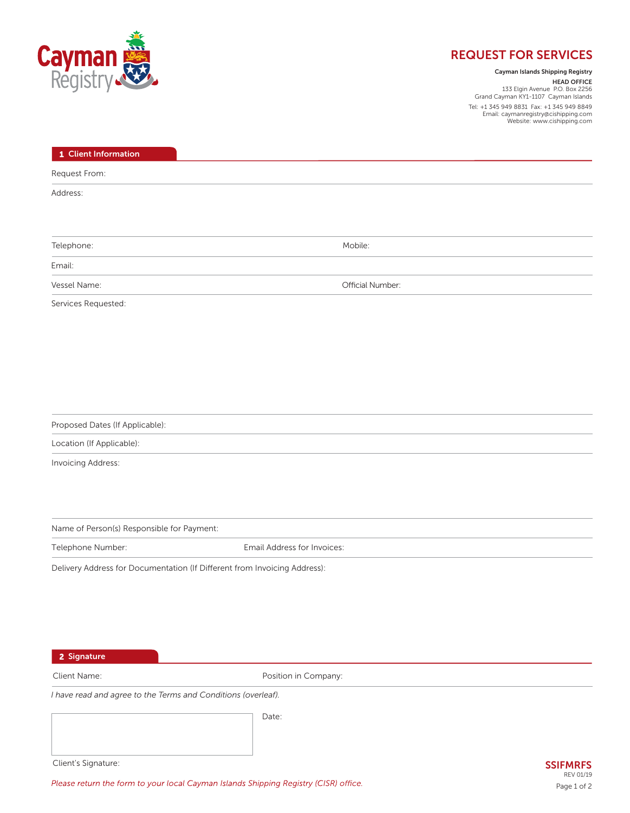

# **REQUEST FOR SERVICES**

# **Cayman Islands Shipping Registry**

**HEAD OFFICE** 133 Elgin Avenue P.O. Box 2256 Grand Cayman KY1-1107 Cayman Islands Tel: +1 345 949 8831 Fax: +1 345 949 8849 Email: caymanregistry@cishipping.com Website: www.cishipping.com

| 1 Client Information                                                      |                             |
|---------------------------------------------------------------------------|-----------------------------|
| Request From:                                                             |                             |
| Address:                                                                  |                             |
|                                                                           |                             |
| Telephone:                                                                | Mobile:                     |
| Email:                                                                    |                             |
| Vessel Name:                                                              | Official Number:            |
| Services Requested:                                                       |                             |
|                                                                           |                             |
|                                                                           |                             |
|                                                                           |                             |
|                                                                           |                             |
|                                                                           |                             |
| Proposed Dates (If Applicable):                                           |                             |
| Location (If Applicable):                                                 |                             |
| Invoicing Address:                                                        |                             |
|                                                                           |                             |
|                                                                           |                             |
| Name of Person(s) Responsible for Payment:                                |                             |
| Telephone Number:                                                         | Email Address for Invoices: |
| Delivery Address for Documentation (If Different from Invoicing Address): |                             |
|                                                                           |                             |
|                                                                           |                             |
|                                                                           |                             |
|                                                                           |                             |
| 2 Signature                                                               |                             |
| Client Name:                                                              | Position in Company:        |
| I have read and agree to the Terms and Conditions (overleaf).             |                             |
|                                                                           | Date:                       |
|                                                                           |                             |

Client's Signature:

Please return the form to your local Cayman Islands Shipping Registry (CISR) office.